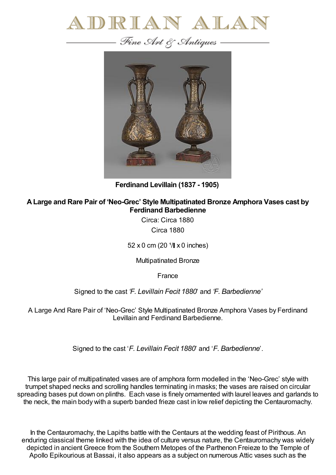



**Ferdinand Levillain (1837 - 1905)**

## **ALarge and Rare Pair of 'Neo-Grec' Style Multipatinated Bronze Amphora Vases cast by Ferdinand Barbedienne**

Circa: Circa 1880 Circa 1880

52 x 0 cm (20  $1/$  x 0 inches)

Multipatinated Bronze

France

Signed to the cast *'F. Levillain Fecit 1880*' and *'F. Barbedienne'*

A Large And Rare Pair of 'Neo-Grec' Style Multipatinated Bronze Amphora Vases by Ferdinand Levillain and Ferdinand Barbedienne.

Signed to the cast '*F. Levillain Fecit 1880*' and '*F. Barbedienne*'.

This large pair of multipatinated vases are of amphora form modelled in the 'Neo-Grec' style with trumpet shaped necks and scrolling handles terminating in masks; the vases are raised on circular spreading bases put down on plinths. Each vase is finely ornamented with laurel leaves and garlands to the neck, the main body with a superb banded frieze cast in low relief depicting the Centauromachy.

In the Centauromachy, the Lapiths battle with the Centaurs at the wedding feast of Pirithous. An enduring classical theme linked with the idea of culture versus nature, the Centauromachy was widely depicted in ancient Greece from the Southern Metopes of the Parthenon Freieze to the Temple of Apollo Epikourious at Bassai, it also appears as a subject on numerous Attic vases such as the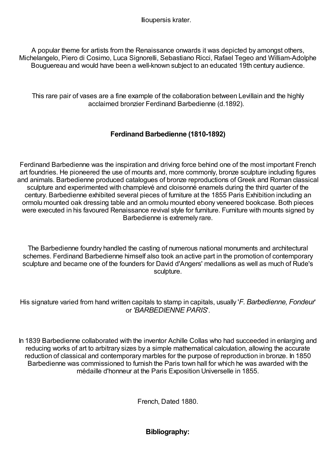Ilioupersis krater.

A popular theme for artists from the Renaissance onwards it was depicted by amongst others, Michelangelo, Piero di Cosimo, Luca Signorelli, Sebastiano Ricci, Rafael Tegeo and William-Adolphe Bouguereau and would have been a well-known subject to an educated 19th century audience.

This rare pair of vases are a fine example of the collaboration between Levillain and the highly acclaimed bronzier Ferdinand Barbedienne (d.1892).

## **Ferdinand Barbedienne (1810-1892)**

Ferdinand Barbedienne was the inspiration and driving force behind one of the most important French art foundries. He pioneered the use of mounts and, more commonly, bronze sculpture including figures and animals. Barbedienne produced catalogues of bronze reproductions of Greek and Roman classical sculpture and experimented with champlevé and cloisonné enamels during the third quarter of the century. Barbedienne exhibited several pieces of furniture at the 1855 Paris Exhibition including an ormolu mounted oak dressing table and an ormolu mounted ebony veneered bookcase. Both pieces were executed in his favoured Renaissance revival style for furniture. Furniture with mounts signed by Barbedienne is extremely rare.

The Barbedienne foundry handled the casting of numerous national monuments and architectural schemes. Ferdinand Barbedienne himself also took an active part in the promotion of contemporary sculpture and became one of the founders for David d'Angers' medallions as well as much of Rude's sculpture.

His signature varied from hand written capitals to stamp in capitals, usually '*F. Barbedienne, Fondeur*' or *'BARBEDIENNE PARIS*'.

In 1839 Barbedienne collaborated with the inventor Achille Collas who had succeeded in enlarging and reducing works of art to arbitrary sizes by a simple mathematical calculation, allowing the accurate reduction of classical and contemporary marbles for the purpose of reproduction in bronze. In 1850 Barbedienne was commissioned to furnish the Paris town hall for which he was awarded with the médaille d'honneur at the Paris Exposition Universelle in 1855.

French, Dated 1880.

**Bibliography:**